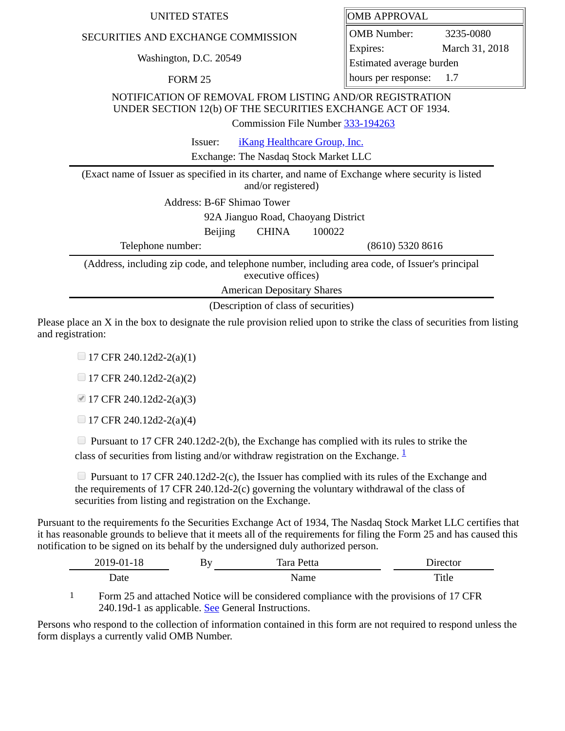| <b>UNITED STATES</b>                                                                                                                                         | <b>OMB APPROVAL</b>      |                |  |  |
|--------------------------------------------------------------------------------------------------------------------------------------------------------------|--------------------------|----------------|--|--|
| SECURITIES AND EXCHANGE COMMISSION                                                                                                                           | <b>OMB</b> Number:       | 3235-0080      |  |  |
| Washington, D.C. 20549                                                                                                                                       | Expires:                 | March 31, 2018 |  |  |
|                                                                                                                                                              | Estimated average burden |                |  |  |
| FORM 25                                                                                                                                                      | hours per response:      | 1.7            |  |  |
| NOTIFICATION OF REMOVAL FROM LISTING AND/OR REGISTRATION<br>UNDER SECTION 12(b) OF THE SECURITIES EXCHANGE ACT OF 1934.<br>Commission File Number 333-194263 |                          |                |  |  |
| iKang Healthcare Group, Inc.<br>Issuer:                                                                                                                      |                          |                |  |  |
| Exchange: The Nasdaq Stock Market LLC                                                                                                                        |                          |                |  |  |
| (Exact name of Issuer as specified in its charter, and name of Exchange where security is listed<br>and/or registered)                                       |                          |                |  |  |
| Address: B-6F Shimao Tower                                                                                                                                   |                          |                |  |  |
| 92A Jianguo Road, Chaoyang District                                                                                                                          |                          |                |  |  |
| <b>CHINA</b><br>100022<br><b>Beijing</b>                                                                                                                     |                          |                |  |  |
| Telephone number:                                                                                                                                            | (8610) 5320 8616         |                |  |  |
| (Address, including zip code, and telephone number, including area code, of Issuer's principal<br>executive offices)                                         |                          |                |  |  |
| <b>American Depositary Shares</b>                                                                                                                            |                          |                |  |  |
| (Description of class of securities)                                                                                                                         |                          |                |  |  |

Please place an X in the box to designate the rule provision relied upon to strike the class of securities from listing and registration:

 $\Box$  17 CFR 240.12d2-2(a)(1)

 $\Box$  17 CFR 240.12d2-2(a)(2)

17 CFR 240.12d2-2(a)(3)

 $\Box$  17 CFR 240.12d2-2(a)(4)

 $\Box$  Pursuant to 17 CFR 240.12d2-2(b), the Exchange has complied with its rules to strike the class of securities from listing and/or withdraw registration on the Exchange.  $\frac{1}{2}$  $\frac{1}{2}$  $\frac{1}{2}$ 

 $\Box$  Pursuant to 17 CFR 240.12d2-2(c), the Issuer has complied with its rules of the Exchange and the requirements of 17 CFR 240.12d-2(c) governing the voluntary withdrawal of the class of securities from listing and registration on the Exchange.

Pursuant to the requirements fo the Securities Exchange Act of 1934, The Nasdaq Stock Market LLC certifies that it has reasonable grounds to believe that it meets all of the requirements for filing the Form 25 and has caused this notification to be signed on its behalf by the undersigned duly authorized person.

| 2010<br>TС<br>---<br>---<br>$\sim$ | By<br>- 11 | Tara<br>τιια | $\sim$       |
|------------------------------------|------------|--------------|--------------|
| Date                               |            | Name         | <b>Title</b> |

<span id="page-0-0"></span>1 Form 25 and attached Notice will be considered compliance with the provisions of 17 CFR 240.19d-1 as applicable. See General Instructions.

Persons who respond to the collection of information contained in this form are not required to respond unless the form displays a currently valid OMB Number.